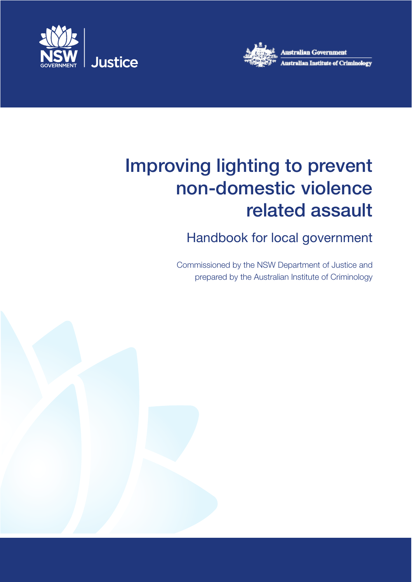



# Improving lighting to prevent non‑domestic violence related assault

## Handbook for local government

Commissioned by the NSW Department of Justice and prepared by the Australian Institute of Criminology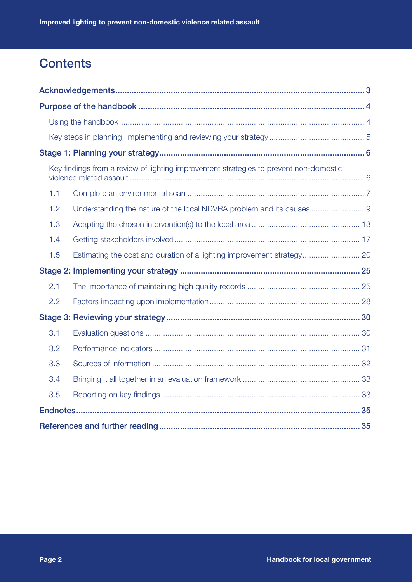## **Contents**

|     | Key findings from a review of lighting improvement strategies to prevent non-domestic |  |
|-----|---------------------------------------------------------------------------------------|--|
| 1.1 |                                                                                       |  |
| 1.2 | Understanding the nature of the local NDVRA problem and its causes  9                 |  |
| 1.3 |                                                                                       |  |
| 1.4 |                                                                                       |  |
| 1.5 |                                                                                       |  |
|     |                                                                                       |  |
| 2.1 |                                                                                       |  |
| 2.2 |                                                                                       |  |
|     |                                                                                       |  |
| 3.1 |                                                                                       |  |
| 3.2 |                                                                                       |  |
| 3.3 |                                                                                       |  |
| 3.4 |                                                                                       |  |
| 3.5 |                                                                                       |  |
|     |                                                                                       |  |
|     |                                                                                       |  |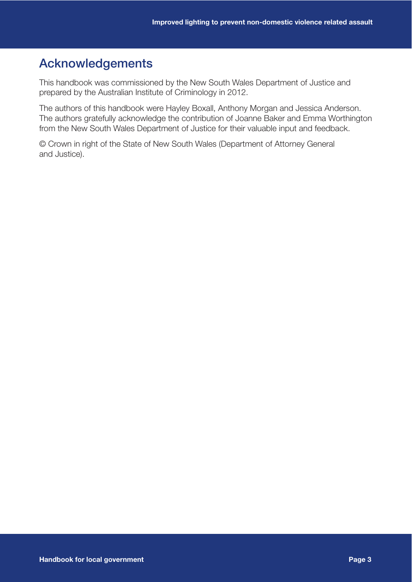## Acknowledgements

This handbook was commissioned by the New South Wales Department of Justice and prepared by the Australian Institute of Criminology in 2012.

The authors of this handbook were Hayley Boxall, Anthony Morgan and Jessica Anderson. The authors gratefully acknowledge the contribution of Joanne Baker and Emma Worthington from the New South Wales Department of Justice for their valuable input and feedback.

© Crown in right of the State of New South Wales (Department of Attorney General and Justice).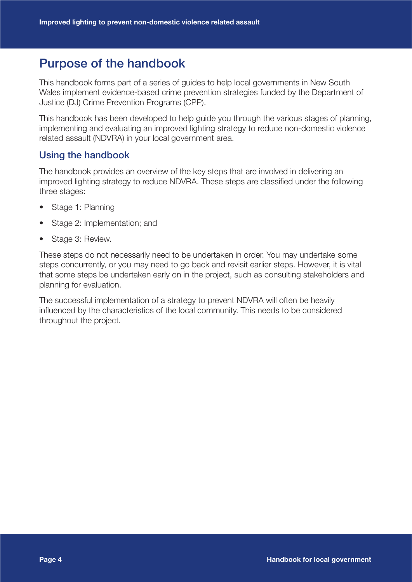## Purpose of the handbook

This handbook forms part of a series of guides to help local governments in New South Wales implement evidence-based crime prevention strategies funded by the Department of Justice (DJ) Crime Prevention Programs (CPP).

This handbook has been developed to help guide you through the various stages of planning, implementing and evaluating an improved lighting strategy to reduce non-domestic violence related assault (NDVRA) in your local government area.

#### Using the handbook

The handbook provides an overview of the key steps that are involved in delivering an improved lighting strategy to reduce NDVRA. These steps are classified under the following three stages:

- Stage 1: Planning
- Stage 2: Implementation; and
- Stage 3: Review.

These steps do not necessarily need to be undertaken in order. You may undertake some steps concurrently, or you may need to go back and revisit earlier steps. However, it is vital that some steps be undertaken early on in the project, such as consulting stakeholders and planning for evaluation.

The successful implementation of a strategy to prevent NDVRA will often be heavily influenced by the characteristics of the local community. This needs to be considered throughout the project.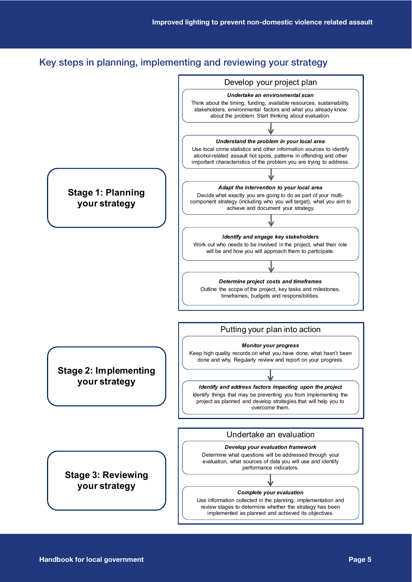## Key steps in planning, implementing and reviewing your strategy

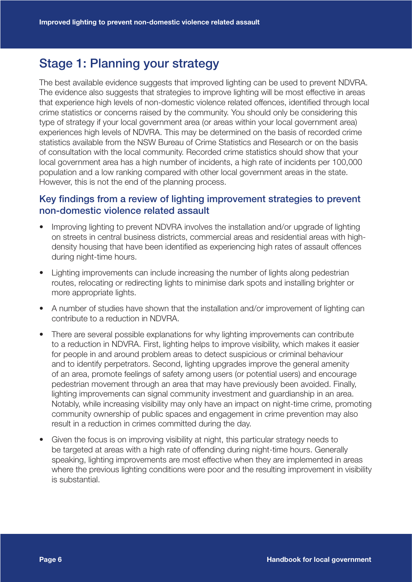## Stage 1: Planning your strategy

The best available evidence suggests that improved lighting can be used to prevent NDVRA. The evidence also suggests that strategies to improve lighting will be most effective in areas that experience high levels of non-domestic violence related offences, identified through local crime statistics or concerns raised by the community. You should only be considering this type of strategy if your local government area (or areas within your local government area) experiences high levels of NDVRA. This may be determined on the basis of recorded crime statistics available from the NSW Bureau of Crime Statistics and Research or on the basis of consultation with the local community. Recorded crime statistics should show that your local government area has a high number of incidents, a high rate of incidents per 100,000 population and a low ranking compared with other local government areas in the state. However, this is not the end of the planning process.

### Key findings from a review of lighting improvement strategies to prevent non-domestic violence related assault

- Improving lighting to prevent NDVRA involves the installation and/or upgrade of lighting on streets in central business districts, commercial areas and residential areas with highdensity housing that have been identified as experiencing high rates of assault offences during night-time hours.
- Lighting improvements can include increasing the number of lights along pedestrian routes, relocating or redirecting lights to minimise dark spots and installing brighter or more appropriate lights.
- A number of studies have shown that the installation and/or improvement of lighting can contribute to a reduction in NDVRA.
- There are several possible explanations for why lighting improvements can contribute to a reduction in NDVRA. First, lighting helps to improve visibility, which makes it easier for people in and around problem areas to detect suspicious or criminal behaviour and to identify perpetrators. Second, lighting upgrades improve the general amenity of an area, promote feelings of safety among users (or potential users) and encourage pedestrian movement through an area that may have previously been avoided. Finally, lighting improvements can signal community investment and guardianship in an area. Notably, while increasing visibility may only have an impact on night-time crime, promoting community ownership of public spaces and engagement in crime prevention may also result in a reduction in crimes committed during the day.
- Given the focus is on improving visibility at night, this particular strategy needs to be targeted at areas with a high rate of offending during night-time hours. Generally speaking, lighting improvements are most effective when they are implemented in areas where the previous lighting conditions were poor and the resulting improvement in visibility is substantial.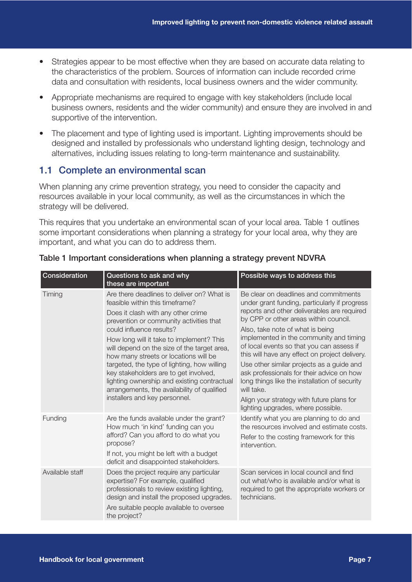- Strategies appear to be most effective when they are based on accurate data relating to the characteristics of the problem. Sources of information can include recorded crime data and consultation with residents, local business owners and the wider community.
- Appropriate mechanisms are required to engage with key stakeholders (include local business owners, residents and the wider community) and ensure they are involved in and supportive of the intervention.
- The placement and type of lighting used is important. Lighting improvements should be designed and installed by professionals who understand lighting design, technology and alternatives, including issues relating to long-term maintenance and sustainability.

### 1.1 Complete an environmental scan

When planning any crime prevention strategy, you need to consider the capacity and resources available in your local community, as well as the circumstances in which the strategy will be delivered.

This requires that you undertake an environmental scan of your local area. Table 1 outlines some important considerations when planning a strategy for your local area, why they are important, and what you can do to address them.

| Consideration   | Questions to ask and why<br>these are important                                                                                                                                                                                                                                                                                                                                                                                                                                                                                                       | Possible ways to address this                                                                                                                                                                                                                                                                                                                                                                                                                                                                                                                                                                            |
|-----------------|-------------------------------------------------------------------------------------------------------------------------------------------------------------------------------------------------------------------------------------------------------------------------------------------------------------------------------------------------------------------------------------------------------------------------------------------------------------------------------------------------------------------------------------------------------|----------------------------------------------------------------------------------------------------------------------------------------------------------------------------------------------------------------------------------------------------------------------------------------------------------------------------------------------------------------------------------------------------------------------------------------------------------------------------------------------------------------------------------------------------------------------------------------------------------|
| Timing          | Are there deadlines to deliver on? What is<br>feasible within this timeframe?<br>Does it clash with any other crime<br>prevention or community activities that<br>could influence results?<br>How long will it take to implement? This<br>will depend on the size of the target area,<br>how many streets or locations will be<br>targeted, the type of lighting, how willing<br>key stakeholders are to get involved,<br>lighting ownership and existing contractual<br>arrangements, the availability of qualified<br>installers and key personnel. | Be clear on deadlines and commitments<br>under grant funding, particularly if progress<br>reports and other deliverables are required<br>by CPP or other areas within council.<br>Also, take note of what is being<br>implemented in the community and timing<br>of local events so that you can assess if<br>this will have any effect on project delivery.<br>Use other similar projects as a guide and<br>ask professionals for their advice on how<br>long things like the installation of security<br>will take.<br>Align your strategy with future plans for<br>lighting upgrades, where possible. |
| Funding         | Are the funds available under the grant?<br>How much 'in kind' funding can you<br>afford? Can you afford to do what you<br>propose?<br>If not, you might be left with a budget<br>deficit and disappointed stakeholders.                                                                                                                                                                                                                                                                                                                              | Identify what you are planning to do and<br>the resources involved and estimate costs.<br>Refer to the costing framework for this<br>intervention.                                                                                                                                                                                                                                                                                                                                                                                                                                                       |
| Available staff | Does the project require any particular<br>expertise? For example, qualified<br>professionals to review existing lighting,<br>design and install the proposed upgrades.<br>Are suitable people available to oversee<br>the project?                                                                                                                                                                                                                                                                                                                   | Scan services in local council and find<br>out what/who is available and/or what is<br>required to get the appropriate workers or<br>technicians.                                                                                                                                                                                                                                                                                                                                                                                                                                                        |

#### Table 1 Important considerations when planning a strategy prevent NDVRA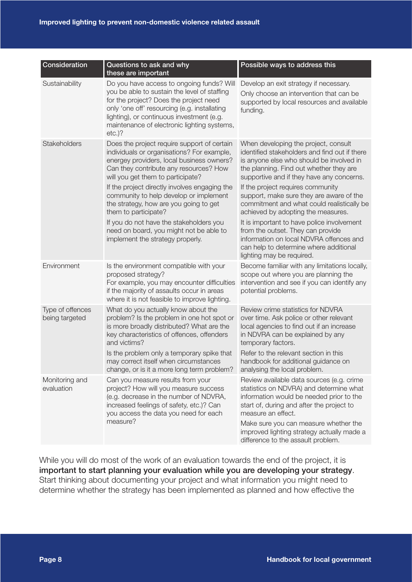| Consideration                      | Questions to ask and why<br>these are important                                                                                                                                                                                                                                                                                                                                                                                                                                                              | Possible ways to address this                                                                                                                                                                                                                                                                                                                                                                                                                                                                                                                                                                       |
|------------------------------------|--------------------------------------------------------------------------------------------------------------------------------------------------------------------------------------------------------------------------------------------------------------------------------------------------------------------------------------------------------------------------------------------------------------------------------------------------------------------------------------------------------------|-----------------------------------------------------------------------------------------------------------------------------------------------------------------------------------------------------------------------------------------------------------------------------------------------------------------------------------------------------------------------------------------------------------------------------------------------------------------------------------------------------------------------------------------------------------------------------------------------------|
| Sustainability                     | Do you have access to ongoing funds? Will<br>you be able to sustain the level of staffing<br>for the project? Does the project need<br>only 'one off' resourcing (e.g. installating<br>lighting), or continuous investment (e.g.<br>maintenance of electronic lighting systems,<br>$etc.$ )?                                                                                                                                                                                                                 | Develop an exit strategy if necessary.<br>Only choose an intervention that can be<br>supported by local resources and available<br>funding.                                                                                                                                                                                                                                                                                                                                                                                                                                                         |
| Stakeholders                       | Does the project require support of certain<br>individuals or organisations? For example,<br>energey providers, local business owners?<br>Can they contribute any resources? How<br>will you get them to participate?<br>If the project directly involves engaging the<br>community to help develop or implement<br>the strategy, how are you going to get<br>them to participate?<br>If you do not have the stakeholders you<br>need on board, you might not be able to<br>implement the strategy properly. | When developing the project, consult<br>identified stakeholders and find out if there<br>is anyone else who should be involved in<br>the planning. Find out whether they are<br>supportive and if they have any concerns.<br>If the project requires community<br>support, make sure they are aware of the<br>commitment and what could realistically be<br>achieved by adopting the measures.<br>It is important to have police involvement<br>from the outset. They can provide<br>information on local NDVRA offences and<br>can help to determine where additional<br>lighting may be required. |
| Environment                        | Is the environment compatible with your<br>proposed strategy?<br>For example, you may encounter difficulties<br>if the majority of assaults occur in areas<br>where it is not feasible to improve lighting.                                                                                                                                                                                                                                                                                                  | Become familiar with any limitations locally,<br>scope out where you are planning the<br>intervention and see if you can identify any<br>potential problems.                                                                                                                                                                                                                                                                                                                                                                                                                                        |
| Type of offences<br>being targeted | What do you actually know about the<br>problem? Is the problem in one hot spot or<br>is more broadly distributed? What are the<br>key characteristics of offences, offenders<br>and victims?<br>Is the problem only a temporary spike that<br>may correct itself when circumstances<br>change, or is it a more long term problem?                                                                                                                                                                            | Review crime statistics for NDVRA<br>over time. Ask police or other relevant<br>local agencies to find out if an increase<br>in NDVRA can be explained by any<br>temporary factors.<br>Refer to the relevant section in this<br>handbook for additional guidance on<br>analysing the local problem.                                                                                                                                                                                                                                                                                                 |
| Monitoring and<br>evaluation       | Can you measure results from your<br>project? How will you measure success<br>(e.g. decrease in the number of NDVRA,<br>increased feelings of safety, etc.)? Can<br>you access the data you need for each<br>measure?                                                                                                                                                                                                                                                                                        | Review available data sources (e.g. crime<br>statistics on NDVRA) and determine what<br>information would be needed prior to the<br>start of, during and after the project to<br>measure an effect.<br>Make sure you can measure whether the<br>improved lighting strategy actually made a<br>difference to the assault problem.                                                                                                                                                                                                                                                                    |

While you will do most of the work of an evaluation towards the end of the project, it is important to start planning your evaluation while you are developing your strategy. Start thinking about documenting your project and what information you might need to determine whether the strategy has been implemented as planned and how effective the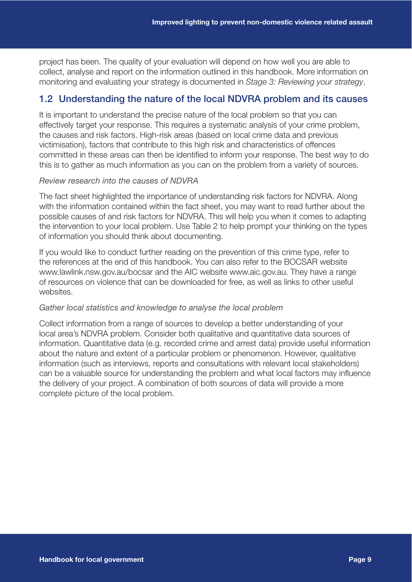project has been. The quality of your evaluation will depend on how well you are able to collect, analyse and report on the information outlined in this handbook. More information on monitoring and evaluating your strategy is documented in *Stage 3: Reviewing your strategy*.

### 1.2 Understanding the nature of the local NDVRA problem and its causes

It is important to understand the precise nature of the local problem so that you can effectively target your response. This requires a systematic analysis of your crime problem, the causes and risk factors. High-risk areas (based on local crime data and previous victimisation), factors that contribute to this high risk and characteristics of offences committed in these areas can then be identified to inform your response. The best way to do this is to gather as much information as you can on the problem from a variety of sources.

#### *Review research into the causes of NDVRA*

The fact sheet highlighted the importance of understanding risk factors for NDVRA. Along with the information contained within the fact sheet, you may want to read further about the possible causes of and risk factors for NDVRA. This will help you when it comes to adapting the intervention to your local problem. Use Table 2 to help prompt your thinking on the types of information you should think about documenting.

If you would like to conduct further reading on the prevention of this crime type, refer to the references at the end of this handbook. You can also refer to the BOCSAR website www.lawlink.nsw.gov.au/bocsar and the AIC website www.aic.gov.au. They have a range of resources on violence that can be downloaded for free, as well as links to other useful websites.

#### *Gather local statistics and knowledge to analyse the local problem*

Collect information from a range of sources to develop a better understanding of your local area's NDVRA problem. Consider both qualitative and quantitative data sources of information. Quantitative data (e.g. recorded crime and arrest data) provide useful information about the nature and extent of a particular problem or phenomenon. However, qualitative information (such as interviews, reports and consultations with relevant local stakeholders) can be a valuable source for understanding the problem and what local factors may influence the delivery of your project. A combination of both sources of data will provide a more complete picture of the local problem.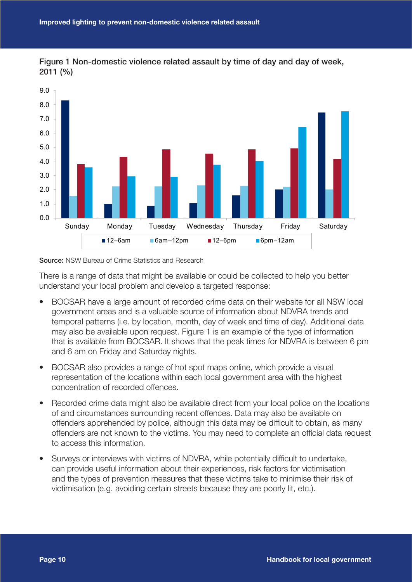



Source: NSW Bureau of Crime Statistics and Research

There is a range of data that might be available or could be collected to help you better understand your local problem and develop a targeted response:

- BOCSAR have a large amount of recorded crime data on their website for all NSW local government areas and is a valuable source of information about NDVRA trends and temporal patterns (i.e. by location, month, day of week and time of day). Additional data may also be available upon request. Figure 1 is an example of the type of information that is available from BOCSAR. It shows that the peak times for NDVRA is between 6 pm and 6 am on Friday and Saturday nights.
- BOCSAR also provides a range of hot spot maps online, which provide a visual representation of the locations within each local government area with the highest concentration of recorded offences.
- Recorded crime data might also be available direct from your local police on the locations of and circumstances surrounding recent offences. Data may also be available on offenders apprehended by police, although this data may be difficult to obtain, as many offenders are not known to the victims. You may need to complete an official data request to access this information.
- Surveys or interviews with victims of NDVRA, while potentially difficult to undertake, can provide useful information about their experiences, risk factors for victimisation and the types of prevention measures that these victims take to minimise their risk of victimisation (e.g. avoiding certain streets because they are poorly lit, etc.).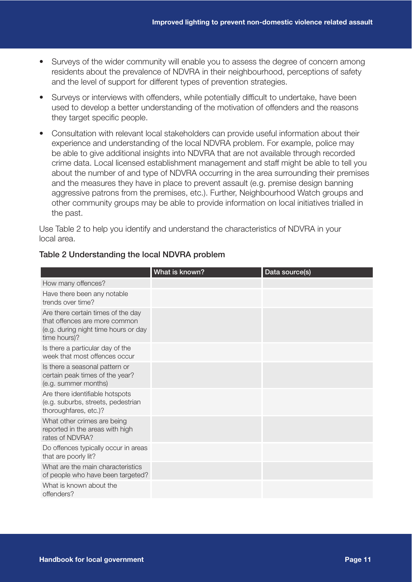- Surveys of the wider community will enable you to assess the degree of concern among residents about the prevalence of NDVRA in their neighbourhood, perceptions of safety and the level of support for different types of prevention strategies.
- Surveys or interviews with offenders, while potentially difficult to undertake, have been used to develop a better understanding of the motivation of offenders and the reasons they target specific people.
- Consultation with relevant local stakeholders can provide useful information about their experience and understanding of the local NDVRA problem. For example, police may be able to give additional insights into NDVRA that are not available through recorded crime data. Local licensed establishment management and staff might be able to tell you about the number of and type of NDVRA occurring in the area surrounding their premises and the measures they have in place to prevent assault (e.g. premise design banning aggressive patrons from the premises, etc.). Further, Neighbourhood Watch groups and other community groups may be able to provide information on local initiatives trialled in the past.

Use Table 2 to help you identify and understand the characteristics of NDVRA in your local area.

|                                                                                                                             | What is known? | Data source(s) |
|-----------------------------------------------------------------------------------------------------------------------------|----------------|----------------|
| How many offences?                                                                                                          |                |                |
| Have there been any notable<br>trends over time?                                                                            |                |                |
| Are there certain times of the day<br>that offences are more common<br>(e.g. during night time hours or day<br>time hours)? |                |                |
| Is there a particular day of the<br>week that most offences occur                                                           |                |                |
| Is there a seasonal pattern or<br>certain peak times of the year?<br>(e.g. summer months)                                   |                |                |
| Are there identifiable hotspots<br>(e.g. suburbs, streets, pedestrian<br>thoroughfares, etc.)?                              |                |                |
| What other crimes are being<br>reported in the areas with high<br>rates of NDVRA?                                           |                |                |
| Do offences typically occur in areas<br>that are poorly lit?                                                                |                |                |
| What are the main characteristics<br>of people who have been targeted?                                                      |                |                |
| What is known about the<br>offenders?                                                                                       |                |                |

#### Table 2 Understanding the local NDVRA problem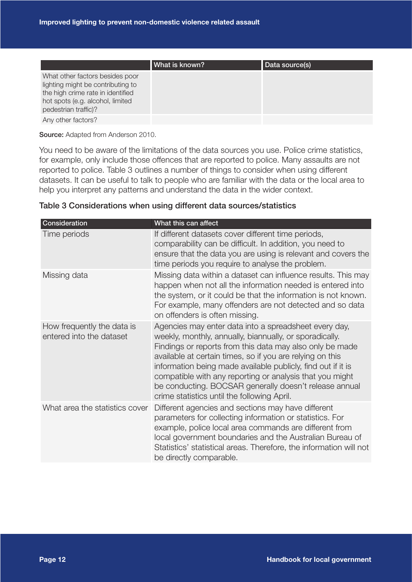|                                                                                                                                                                       | What is known? | Data source(s) |
|-----------------------------------------------------------------------------------------------------------------------------------------------------------------------|----------------|----------------|
| What other factors besides poor<br>lighting might be contributing to<br>the high crime rate in identified<br>hot spots (e.g. alcohol, limited<br>pedestrian traffic)? |                |                |
| Any other factors?                                                                                                                                                    |                |                |

Source: Adapted from Anderson 2010.

You need to be aware of the limitations of the data sources you use. Police crime statistics, for example, only include those offences that are reported to police. Many assaults are not reported to police. Table 3 outlines a number of things to consider when using different datasets. It can be useful to talk to people who are familiar with the data or the local area to help you interpret any patterns and understand the data in the wider context.

|  | Table 3 Considerations when using different data sources/statistics |
|--|---------------------------------------------------------------------|
|--|---------------------------------------------------------------------|

| Consideration                                          | What this can affect                                                                                                                                                                                                                                                                                                                                                                                                                                                           |
|--------------------------------------------------------|--------------------------------------------------------------------------------------------------------------------------------------------------------------------------------------------------------------------------------------------------------------------------------------------------------------------------------------------------------------------------------------------------------------------------------------------------------------------------------|
| Time periods                                           | If different datasets cover different time periods,<br>comparability can be difficult. In addition, you need to<br>ensure that the data you are using is relevant and covers the<br>time periods you require to analyse the problem.                                                                                                                                                                                                                                           |
| Missing data                                           | Missing data within a dataset can influence results. This may<br>happen when not all the information needed is entered into<br>the system, or it could be that the information is not known.<br>For example, many offenders are not detected and so data<br>on offenders is often missing.                                                                                                                                                                                     |
| How frequently the data is<br>entered into the dataset | Agencies may enter data into a spreadsheet every day,<br>weekly, monthly, annually, biannually, or sporadically.<br>Findings or reports from this data may also only be made<br>available at certain times, so if you are relying on this<br>information being made available publicly, find out if it is<br>compatible with any reporting or analysis that you might<br>be conducting. BOCSAR generally doesn't release annual<br>crime statistics until the following April. |
| What area the statistics cover                         | Different agencies and sections may have different<br>parameters for collecting information or statistics. For<br>example, police local area commands are different from<br>local government boundaries and the Australian Bureau of<br>Statistics' statistical areas. Therefore, the information will not<br>be directly comparable.                                                                                                                                          |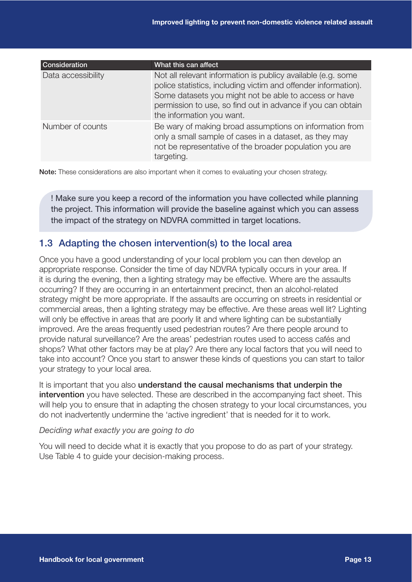| <b>Consideration</b> | What this can affect                                                                                                                                                                                                                                                                |
|----------------------|-------------------------------------------------------------------------------------------------------------------------------------------------------------------------------------------------------------------------------------------------------------------------------------|
| Data accessibility   | Not all relevant information is publicy available (e.g. some<br>police statistics, including victim and offender information).<br>Some datasets you might not be able to access or have<br>permission to use, so find out in advance if you can obtain<br>the information you want. |
| Number of counts     | Be wary of making broad assumptions on information from<br>only a small sample of cases in a dataset, as they may<br>not be representative of the broader population you are<br>targeting.                                                                                          |

Note: These considerations are also important when it comes to evaluating your chosen strategy.

! Make sure you keep a record of the information you have collected while planning the project. This information will provide the baseline against which you can assess the impact of the strategy on NDVRA committed in target locations.

### 1.3 Adapting the chosen intervention(s) to the local area

Once you have a good understanding of your local problem you can then develop an appropriate response. Consider the time of day NDVRA typically occurs in your area. If it is during the evening, then a lighting strategy may be effective. Where are the assaults occurring? If they are occurring in an entertainment precinct, then an alcohol-related strategy might be more appropriate. If the assaults are occurring on streets in residential or commercial areas, then a lighting strategy may be effective. Are these areas well lit? Lighting will only be effective in areas that are poorly lit and where lighting can be substantially improved. Are the areas frequently used pedestrian routes? Are there people around to provide natural surveillance? Are the areas' pedestrian routes used to access cafés and shops? What other factors may be at play? Are there any local factors that you will need to take into account? Once you start to answer these kinds of questions you can start to tailor your strategy to your local area.

It is important that you also **understand the causal mechanisms that underpin the** intervention you have selected. These are described in the accompanying fact sheet. This will help you to ensure that in adapting the chosen strategy to your local circumstances, you do not inadvertently undermine the 'active ingredient' that is needed for it to work.

#### *Deciding what exactly you are going to do*

You will need to decide what it is exactly that you propose to do as part of your strategy. Use Table 4 to guide your decision-making process.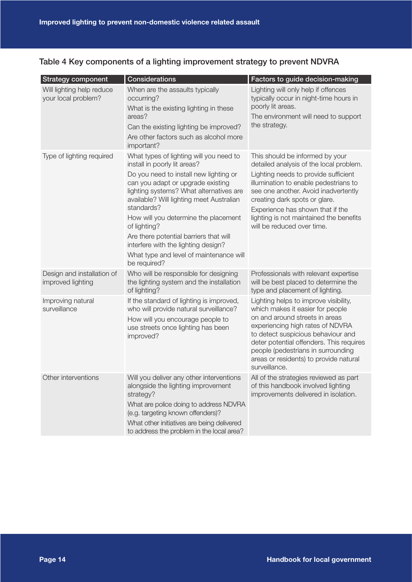|  |  | Table 4 Key components of a lighting improvement strategy to prevent NDVRA |
|--|--|----------------------------------------------------------------------------|
|--|--|----------------------------------------------------------------------------|

| <b>Strategy component</b>                        | Considerations                                                                                                                                                                                                                                                                                                                                                                                                                                                  | Factors to guide decision-making                                                                                                                                                                                                                                                                                                                  |
|--------------------------------------------------|-----------------------------------------------------------------------------------------------------------------------------------------------------------------------------------------------------------------------------------------------------------------------------------------------------------------------------------------------------------------------------------------------------------------------------------------------------------------|---------------------------------------------------------------------------------------------------------------------------------------------------------------------------------------------------------------------------------------------------------------------------------------------------------------------------------------------------|
| Will lighting help reduce<br>your local problem? | When are the assaults typically<br>occurring?<br>What is the existing lighting in these<br>areas?<br>Can the existing lighting be improved?<br>Are other factors such as alcohol more<br>important?                                                                                                                                                                                                                                                             | Lighting will only help if offences<br>typically occur in night-time hours in<br>poorly lit areas.<br>The environment will need to support<br>the strategy.                                                                                                                                                                                       |
| Type of lighting required                        | What types of lighting will you need to<br>install in poorly lit areas?<br>Do you need to install new lighting or<br>can you adapt or upgrade existing<br>lighting systems? What alternatives are<br>available? Will lighting meet Australian<br>standards?<br>How will you determine the placement<br>of lighting?<br>Are there potential barriers that will<br>interfere with the lighting design?<br>What type and level of maintenance will<br>be required? | This should be informed by your<br>detailed analysis of the local problem.<br>Lighting needs to provide sufficient<br>illumination to enable pedestrians to<br>see one another. Avoid inadvertently<br>creating dark spots or glare.<br>Experience has shown that if the<br>lighting is not maintained the benefits<br>will be reduced over time. |
| Design and installation of<br>improved lighting  | Who will be responsible for designing<br>the lighting system and the installation<br>of lighting?                                                                                                                                                                                                                                                                                                                                                               | Professionals with relevant expertise<br>will be best placed to determine the<br>type and placement of lighting.                                                                                                                                                                                                                                  |
| Improving natural<br>surveillance                | If the standard of lighting is improved,<br>who will provide natural surveillance?<br>How will you encourage people to<br>use streets once lighting has been<br>improved?                                                                                                                                                                                                                                                                                       | Lighting helps to improve visibility,<br>which makes it easier for people<br>on and around streets in areas<br>experiencing high rates of NDVRA<br>to detect suspicious behaviour and<br>deter potential offenders. This requires<br>people (pedestrians in surrounding<br>areas or residents) to provide natural<br>surveillance.                |
| Other interventions                              | Will you deliver any other interventions<br>alongside the lighting improvement<br>strategy?<br>What are police doing to address NDVRA<br>(e.g. targeting known offenders)?<br>What other initiatives are being delivered<br>to address the problem in the local area?                                                                                                                                                                                           | All of the strategies reviewed as part<br>of this handbook involved lighting<br>improvements delivered in isolation.                                                                                                                                                                                                                              |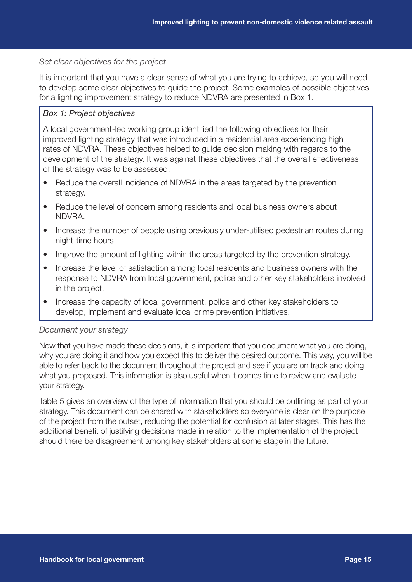#### *Set clear objectives for the project*

It is important that you have a clear sense of what you are trying to achieve, so you will need to develop some clear objectives to guide the project. Some examples of possible objectives for a lighting improvement strategy to reduce NDVRA are presented in Box 1.

#### *Box 1: Project objectives*

A local government-led working group identified the following objectives for their improved lighting strategy that was introduced in a residential area experiencing high rates of NDVRA. These objectives helped to guide decision making with regards to the development of the strategy. It was against these objectives that the overall effectiveness of the strategy was to be assessed.

- Reduce the overall incidence of NDVRA in the areas targeted by the prevention strategy.
- Reduce the level of concern among residents and local business owners about NDVRA.
- Increase the number of people using previously under-utilised pedestrian routes during night-time hours.
- Improve the amount of lighting within the areas targeted by the prevention strategy.
- Increase the level of satisfaction among local residents and business owners with the response to NDVRA from local government, police and other key stakeholders involved in the project.
- Increase the capacity of local government, police and other key stakeholders to develop, implement and evaluate local crime prevention initiatives.

#### *Document your strategy*

Now that you have made these decisions, it is important that you document what you are doing, why you are doing it and how you expect this to deliver the desired outcome. This way, you will be able to refer back to the document throughout the project and see if you are on track and doing what you proposed. This information is also useful when it comes time to review and evaluate your strategy.

Table 5 gives an overview of the type of information that you should be outlining as part of your strategy. This document can be shared with stakeholders so everyone is clear on the purpose of the project from the outset, reducing the potential for confusion at later stages. This has the additional benefit of justifying decisions made in relation to the implementation of the project should there be disagreement among key stakeholders at some stage in the future.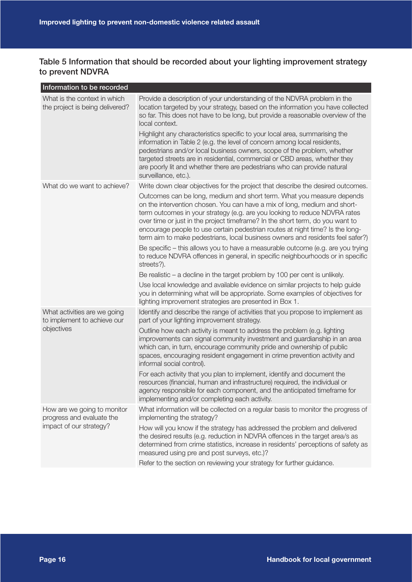### Table 5 Information that should be recorded about your lighting improvement strategy to prevent NDVRA

| Information to be recorded                                      |                                                                                                                                                                                                                                                                                                                                                                                                                                                                                                                                                                                                                                                                                        |
|-----------------------------------------------------------------|----------------------------------------------------------------------------------------------------------------------------------------------------------------------------------------------------------------------------------------------------------------------------------------------------------------------------------------------------------------------------------------------------------------------------------------------------------------------------------------------------------------------------------------------------------------------------------------------------------------------------------------------------------------------------------------|
| What is the context in which<br>the project is being delivered? | Provide a description of your understanding of the NDVRA problem in the<br>location targeted by your strategy, based on the information you have collected<br>so far. This does not have to be long, but provide a reasonable overview of the<br>local context.<br>Highlight any characteristics specific to your local area, summarising the<br>information in Table 2 (e.g. the level of concern among local residents,<br>pedestrians and/or local business owners, scope of the problem, whether<br>targeted streets are in residential, commercial or CBD areas, whether they<br>are poorly lit and whether there are pedestrians who can provide natural<br>surveillance, etc.). |
| What do we want to achieve?                                     | Write down clear objectives for the project that describe the desired outcomes.                                                                                                                                                                                                                                                                                                                                                                                                                                                                                                                                                                                                        |
|                                                                 | Outcomes can be long, medium and short term. What you measure depends<br>on the intervention chosen. You can have a mix of long, medium and short-<br>term outcomes in your strategy (e.g. are you looking to reduce NDVRA rates<br>over time or just in the project timeframe? In the short term, do you want to<br>encourage people to use certain pedestrian routes at night time? Is the long-<br>term aim to make pedestrians, local business owners and residents feel safer?)                                                                                                                                                                                                   |
|                                                                 | Be specific – this allows you to have a measurable outcome (e.g. are you trying<br>to reduce NDVRA offences in general, in specific neighbourhoods or in specific<br>streets?).                                                                                                                                                                                                                                                                                                                                                                                                                                                                                                        |
|                                                                 | Be realistic $-$ a decline in the target problem by 100 per cent is unlikely.                                                                                                                                                                                                                                                                                                                                                                                                                                                                                                                                                                                                          |
|                                                                 | Use local knowledge and available evidence on similar projects to help guide<br>you in determining what will be appropriate. Some examples of objectives for<br>lighting improvement strategies are presented in Box 1.                                                                                                                                                                                                                                                                                                                                                                                                                                                                |
| What activities are we going<br>to implement to achieve our     | Identify and describe the range of activities that you propose to implement as<br>part of your lighting improvement strategy.                                                                                                                                                                                                                                                                                                                                                                                                                                                                                                                                                          |
| objectives                                                      | Outline how each activity is meant to address the problem (e.g. lighting<br>improvements can signal community investment and guardianship in an area<br>which can, in turn, encourage community pride and ownership of public<br>spaces, encouraging resident engagement in crime prevention activity and<br>informal social control).                                                                                                                                                                                                                                                                                                                                                 |
|                                                                 | For each activity that you plan to implement, identify and document the<br>resources (financial, human and infrastructure) required, the individual or<br>agency responsible for each component, and the anticipated timeframe for<br>implementing and/or completing each activity.                                                                                                                                                                                                                                                                                                                                                                                                    |
| How are we going to monitor<br>progress and evaluate the        | What information will be collected on a regular basis to monitor the progress of<br>implementing the strategy?                                                                                                                                                                                                                                                                                                                                                                                                                                                                                                                                                                         |
| impact of our strategy?                                         | How will you know if the strategy has addressed the problem and delivered<br>the desired results (e.g. reduction in NDVRA offences in the target area/s as<br>determined from crime statistics, increase in residents' perceptions of safety as<br>measured using pre and post surveys, etc.)?                                                                                                                                                                                                                                                                                                                                                                                         |
|                                                                 | Refer to the section on reviewing your strategy for further guidance.                                                                                                                                                                                                                                                                                                                                                                                                                                                                                                                                                                                                                  |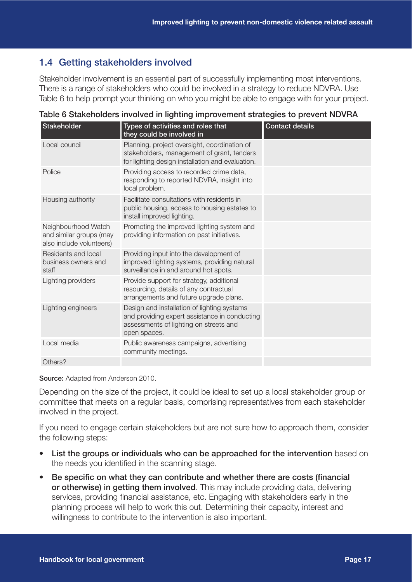## 1.4 Getting stakeholders involved

Stakeholder involvement is an essential part of successfully implementing most interventions. There is a range of stakeholders who could be involved in a strategy to reduce NDVRA. Use Table 6 to help prompt your thinking on who you might be able to engage with for your project.

| Stakeholder                                                                | Types of activities and roles that<br>they could be involved in                                                                                        | <b>Contact details</b> |
|----------------------------------------------------------------------------|--------------------------------------------------------------------------------------------------------------------------------------------------------|------------------------|
| Local council                                                              | Planning, project oversight, coordination of<br>stakeholders, management of grant, tenders<br>for lighting design installation and evaluation.         |                        |
| Police                                                                     | Providing access to recorded crime data,<br>responding to reported NDVRA, insight into<br>local problem.                                               |                        |
| Housing authority                                                          | Facilitate consultations with residents in<br>public housing, access to housing estates to<br>install improved lighting.                               |                        |
| Neighbourhood Watch<br>and similar groups (may<br>also include volunteers) | Promoting the improved lighting system and<br>providing information on past initiatives.                                                               |                        |
| Residents and local<br>business owners and<br>staff                        | Providing input into the development of<br>improved lighting systems, providing natural<br>surveillance in and around hot spots.                       |                        |
| Lighting providers                                                         | Provide support for strategy, additional<br>resourcing, details of any contractual<br>arrangements and future upgrade plans.                           |                        |
| Lighting engineers                                                         | Design and installation of lighting systems<br>and providing expert assistance in conducting<br>assessments of lighting on streets and<br>open spaces. |                        |
| Local media                                                                | Public awareness campaigns, advertising<br>community meetings.                                                                                         |                        |
| Others?                                                                    |                                                                                                                                                        |                        |

Table 6 Stakeholders involved in lighting improvement strategies to prevent NDVRA

Source: Adapted from Anderson 2010.

Depending on the size of the project, it could be ideal to set up a local stakeholder group or committee that meets on a regular basis, comprising representatives from each stakeholder involved in the project.

If you need to engage certain stakeholders but are not sure how to approach them, consider the following steps:

- List the groups or individuals who can be approached for the intervention based on the needs you identified in the scanning stage.
- Be specific on what they can contribute and whether there are costs (financial or otherwise) in getting them involved. This may include providing data, delivering services, providing financial assistance, etc. Engaging with stakeholders early in the planning process will help to work this out. Determining their capacity, interest and willingness to contribute to the intervention is also important.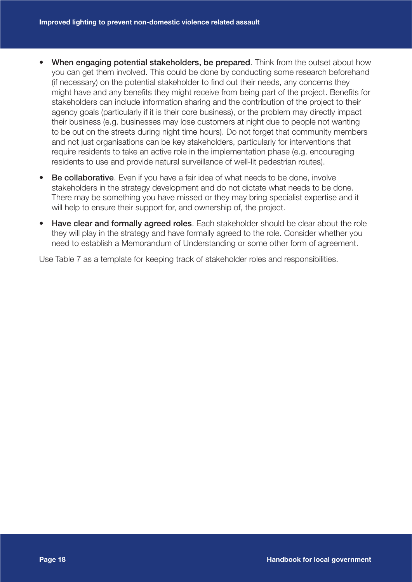- When engaging potential stakeholders, be prepared. Think from the outset about how you can get them involved. This could be done by conducting some research beforehand (if necessary) on the potential stakeholder to find out their needs, any concerns they might have and any benefits they might receive from being part of the project. Benefits for stakeholders can include information sharing and the contribution of the project to their agency goals (particularly if it is their core business), or the problem may directly impact their business (e.g. businesses may lose customers at night due to people not wanting to be out on the streets during night time hours). Do not forget that community members and not just organisations can be key stakeholders, particularly for interventions that require residents to take an active role in the implementation phase (e.g. encouraging residents to use and provide natural surveillance of well-lit pedestrian routes).
- Be collaborative. Even if you have a fair idea of what needs to be done, involve stakeholders in the strategy development and do not dictate what needs to be done. There may be something you have missed or they may bring specialist expertise and it will help to ensure their support for, and ownership of, the project.
- Have clear and formally agreed roles. Each stakeholder should be clear about the role they will play in the strategy and have formally agreed to the role. Consider whether you need to establish a Memorandum of Understanding or some other form of agreement.

Use Table 7 as a template for keeping track of stakeholder roles and responsibilities.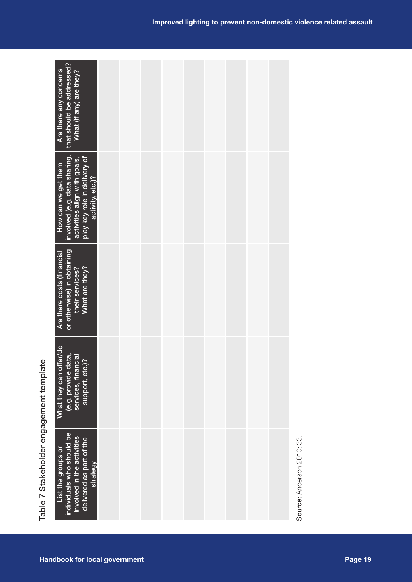|                                         | individuals who should be<br>involved in the activities<br>delivered as part of the<br>List the groups or<br>strategy                   |  |  | Source: Anderson 2010: 33. |  |
|-----------------------------------------|-----------------------------------------------------------------------------------------------------------------------------------------|--|--|----------------------------|--|
| Table 7 Stakeholder engagement template | What they can offer/do<br>data,<br>services, financial<br>support, etc.)?<br>(e.g. provide                                              |  |  |                            |  |
|                                         | or otherwise) in obtaining<br>Are there costs (financial<br>their services?<br>What are they?                                           |  |  |                            |  |
|                                         | involved (e.g. data sharing,<br>play key role in delivery of<br>activity, etc.)?<br>activities align with goals,<br>How can we get them |  |  |                            |  |
|                                         | that should be addressed?<br>Are there any concerns<br>What (if any) are they?                                                          |  |  |                            |  |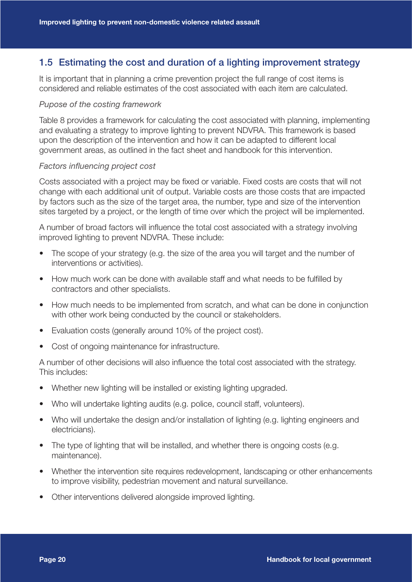## 1.5 Estimating the cost and duration of a lighting improvement strategy

It is important that in planning a crime prevention project the full range of cost items is considered and reliable estimates of the cost associated with each item are calculated.

#### *Pupose of the costing framework*

Table 8 provides a framework for calculating the cost associated with planning, implementing and evaluating a strategy to improve lighting to prevent NDVRA. This framework is based upon the description of the intervention and how it can be adapted to different local government areas, as outlined in the fact sheet and handbook for this intervention.

#### *Factors influencing project cost*

Costs associated with a project may be fixed or variable. Fixed costs are costs that will not change with each additional unit of output. Variable costs are those costs that are impacted by factors such as the size of the target area, the number, type and size of the intervention sites targeted by a project, or the length of time over which the project will be implemented.

A number of broad factors will influence the total cost associated with a strategy involving improved lighting to prevent NDVRA. These include:

- The scope of your strategy (e.g. the size of the area you will target and the number of interventions or activities).
- How much work can be done with available staff and what needs to be fulfilled by contractors and other specialists.
- How much needs to be implemented from scratch, and what can be done in conjunction with other work being conducted by the council or stakeholders.
- Evaluation costs (generally around 10% of the project cost).
- Cost of ongoing maintenance for infrastructure.

A number of other decisions will also influence the total cost associated with the strategy. This includes:

- Whether new lighting will be installed or existing lighting upgraded.
- Who will undertake lighting audits (e.g. police, council staff, volunteers).
- Who will undertake the design and/or installation of lighting (e.g. lighting engineers and electricians).
- The type of lighting that will be installed, and whether there is ongoing costs (e.g. maintenance).
- Whether the intervention site requires redevelopment, landscaping or other enhancements to improve visibility, pedestrian movement and natural surveillance.
- Other interventions delivered alongside improved lighting.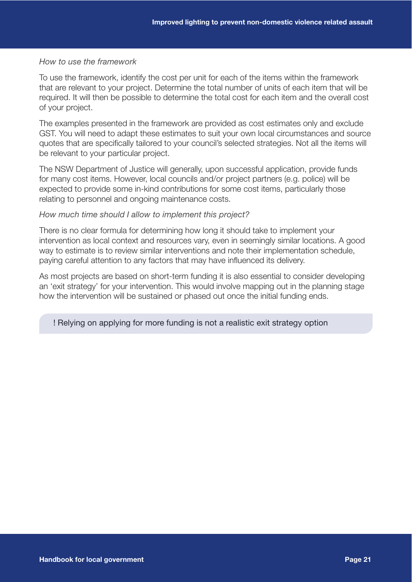#### *How to use the framework*

To use the framework, identify the cost per unit for each of the items within the framework that are relevant to your project. Determine the total number of units of each item that will be required. It will then be possible to determine the total cost for each item and the overall cost of your project.

The examples presented in the framework are provided as cost estimates only and exclude GST. You will need to adapt these estimates to suit your own local circumstances and source quotes that are specifically tailored to your council's selected strategies. Not all the items will be relevant to your particular project.

The NSW Department of Justice will generally, upon successful application, provide funds for many cost items. However, local councils and/or project partners (e.g. police) will be expected to provide some in-kind contributions for some cost items, particularly those relating to personnel and ongoing maintenance costs.

#### *How much time should I allow to implement this project?*

There is no clear formula for determining how long it should take to implement your intervention as local context and resources vary, even in seemingly similar locations. A good way to estimate is to review similar interventions and note their implementation schedule, paying careful attention to any factors that may have influenced its delivery.

As most projects are based on short-term funding it is also essential to consider developing an 'exit strategy' for your intervention. This would involve mapping out in the planning stage how the intervention will be sustained or phased out once the initial funding ends.

#### ! Relying on applying for more funding is not a realistic exit strategy option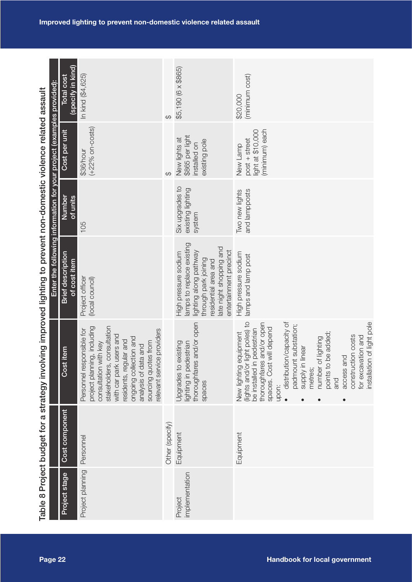|                                                                            | <b>Total cost</b> |
|----------------------------------------------------------------------------|-------------------|
|                                                                            |                   |
|                                                                            |                   |
| involving improved lighting to prevent non-domestic violence related assau |                   |
|                                                                            |                   |
| r a si                                                                     |                   |
| י<br>ב                                                                     |                   |

|                                                                                                                    | (specify in kind)<br><b>Total cost</b>   | In kind (\$4,625)                                                                                                                                                                                                                                                              | ↔               | \$5,190 (6 x \$865)                                                                                                                                                              | (minimum cost)<br>\$20,000                                                                                                                                                                                                                                                                                                                                                                                        |
|--------------------------------------------------------------------------------------------------------------------|------------------------------------------|--------------------------------------------------------------------------------------------------------------------------------------------------------------------------------------------------------------------------------------------------------------------------------|-----------------|----------------------------------------------------------------------------------------------------------------------------------------------------------------------------------|-------------------------------------------------------------------------------------------------------------------------------------------------------------------------------------------------------------------------------------------------------------------------------------------------------------------------------------------------------------------------------------------------------------------|
| Enter the following information for your project (examples provided):                                              | Cost per unit                            | $(+22%$ on-costs)<br>\$36/hour                                                                                                                                                                                                                                                 | ↔               | \$865 per light<br>New lights at<br>existing pole<br>installed on                                                                                                                | (minimum) each<br>light at \$10,000<br>post + street<br>New Lamp                                                                                                                                                                                                                                                                                                                                                  |
|                                                                                                                    | Number<br>$\frac{df}{dr}$ units          | 105                                                                                                                                                                                                                                                                            |                 | Six upgrades to<br>existing lighting<br>system                                                                                                                                   | and lampposts<br>Two new lights                                                                                                                                                                                                                                                                                                                                                                                   |
|                                                                                                                    | <b>Brief description</b><br>of cost item | Project officer<br>(local council)                                                                                                                                                                                                                                             |                 | lamps to replace existing<br>late night shopping and<br>entertainment precinct<br>lighting along pathway<br>High pressure sodium<br>through park joining<br>residential area and | High pressure sodium<br>amps and lamp post                                                                                                                                                                                                                                                                                                                                                                        |
| Table 8 Project budget for a strategy imvolving improved lighting to prevent non-domestic violence related assault | item<br>Cost                             | consultation<br>project planning, including<br>elevant service providers<br>Personnel responsible for<br>with car park users and<br>ongoing collection and<br>residents, regular and<br>sourcing quotes from<br>consultation with key<br>analysis of data and<br>stakeholders, |                 | and/or open<br>Jpgrades to existing<br>lighting in pedestrian<br>thoroughfares<br>spaces                                                                                         | light poles) to<br>distribution/capacity of<br>installation of light pole<br>and/or open<br>t substation;<br>will depend<br>pedestrian<br>be added;<br>New lighting equipment<br>construction costs<br>for excavation and<br>number of lighting<br>linear<br>access and<br>thoroughfares<br>(lights and/or I<br>padmoun<br>points to I<br>supply in<br>be installed in<br>spaces. Cost<br>metres;<br>and<br>upon: |
|                                                                                                                    | Cost component                           | Personnel                                                                                                                                                                                                                                                                      | Other (specify) | Equipment                                                                                                                                                                        | Equipment                                                                                                                                                                                                                                                                                                                                                                                                         |
|                                                                                                                    | Project stage                            | Project planning                                                                                                                                                                                                                                                               |                 | implementation<br>Project                                                                                                                                                        |                                                                                                                                                                                                                                                                                                                                                                                                                   |
| Page 22                                                                                                            |                                          |                                                                                                                                                                                                                                                                                |                 |                                                                                                                                                                                  | <b>Handbook for local government</b>                                                                                                                                                                                                                                                                                                                                                                              |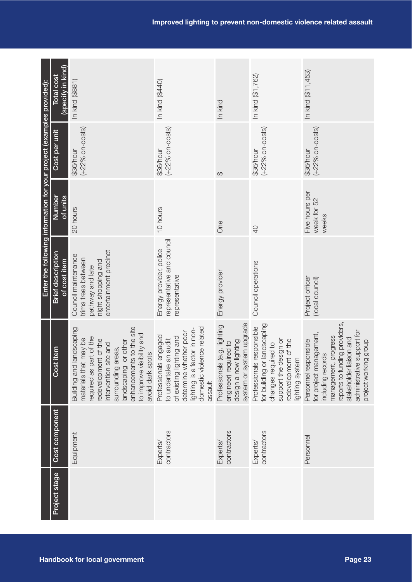|                                                                       | specify in kind<br>Total cost                   | In kind (\$881)                                                                                                                                                                                                                                                 | In kind (\$440)                                                                                                                                                             | In kind                                                                                                         | In kind (\$1,762)                                                                                                                                 | In kind (\$11,453)                                                                                                                                                                                                  |
|-----------------------------------------------------------------------|-------------------------------------------------|-----------------------------------------------------------------------------------------------------------------------------------------------------------------------------------------------------------------------------------------------------------------|-----------------------------------------------------------------------------------------------------------------------------------------------------------------------------|-----------------------------------------------------------------------------------------------------------------|---------------------------------------------------------------------------------------------------------------------------------------------------|---------------------------------------------------------------------------------------------------------------------------------------------------------------------------------------------------------------------|
|                                                                       | Cost per unit                                   | $(+22%$ on-costs)<br>\$36/hour                                                                                                                                                                                                                                  | $(+22%$ on-costs)<br>\$36/hour                                                                                                                                              | $\Theta$                                                                                                        | $(+22%$ on-costs)<br>\$36/hour                                                                                                                    | $(+22%$ on-costs)<br>\$36/hour                                                                                                                                                                                      |
|                                                                       | Number<br>of units                              | 20 hours                                                                                                                                                                                                                                                        | 10 hours                                                                                                                                                                    | One                                                                                                             | $\overline{0}$                                                                                                                                    | Five hours per<br>week for 52<br>weeks                                                                                                                                                                              |
| Enter the following information for your project (examples provided): | <b>Brief description</b><br>of cost item        | entertainment precinct<br>Council maintenance<br>trims trees between<br>night shopping and<br>pathway and late                                                                                                                                                  | representative and council<br>Energy provider, police<br>representative                                                                                                     | Energy provider                                                                                                 | Council operations                                                                                                                                | Project officer<br>(local council)                                                                                                                                                                                  |
|                                                                       | item<br>Cost                                    | enhancements to the site<br>andscaping<br>to improve visibility and<br>required as part of the<br>may be<br>redevelopment of the<br>or other<br>intervention site and<br>surrounding areas,<br>avoid dark spots<br>materials that<br>Building and<br>andscaping | domestic violence related<br>ighting is a factor in non-<br>determine whether poor<br>Professionals engaged<br>of existing lighting and<br>to undertake an audit<br>assault | system or system upgrade<br>Professionals (e.g. lighting<br>design a new lighting<br>Jired to<br>engineer) requ | for building or landscaping<br>Professionals responsible<br>edevelopment of the<br>support the design or<br>changes required to<br>ighting system | reports to funding providers,<br>administrative support for<br>for project management,<br>progress<br>stakeholder liaison and<br>Personnel responsible<br>project working group<br>including records<br>management, |
|                                                                       | Cost component                                  | Equipment                                                                                                                                                                                                                                                       | contractors<br>Experts/                                                                                                                                                     | contractors<br>Experts/                                                                                         | contractors<br>Experts/                                                                                                                           | Personnel                                                                                                                                                                                                           |
|                                                                       | Project stage                                   |                                                                                                                                                                                                                                                                 |                                                                                                                                                                             |                                                                                                                 |                                                                                                                                                   |                                                                                                                                                                                                                     |
|                                                                       | <b>Handbook for local government</b><br>Page 23 |                                                                                                                                                                                                                                                                 |                                                                                                                                                                             |                                                                                                                 |                                                                                                                                                   |                                                                                                                                                                                                                     |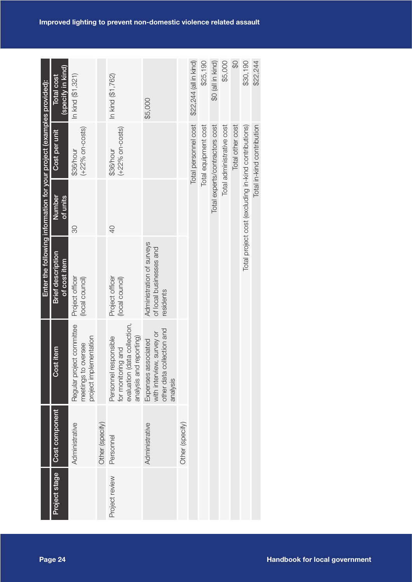| Project stage<br>Page 24    |                 |                                                                                                        | Enter the following information for your project (examples provided): |                                                      |                                |                                 |
|-----------------------------|-----------------|--------------------------------------------------------------------------------------------------------|-----------------------------------------------------------------------|------------------------------------------------------|--------------------------------|---------------------------------|
|                             | Cost component  | Cost item                                                                                              | <b>Brief description</b><br>of cost item                              | Number<br>of units                                   | Cost per unit                  | (specify in kind)<br>Total cost |
|                             | Administrative  | Regular project committee<br>project implementation<br>meetings to oversee                             | Project officer<br>(local council)                                    | $\infty$                                             | $(+22%$ on-costs)<br>\$36/hour | In kind (\$1,321)               |
|                             | Other (specify) |                                                                                                        |                                                                       |                                                      |                                |                                 |
| Personnel<br>Project review |                 | evaluation (data collection,<br>analysis and reporting)<br>Personnel responsible<br>for monitoring and | Project officer<br>(local council)                                    | $\overline{0}$                                       | $(+22%$ on-costs)<br>\$36/hour | In kind (\$1,762)               |
|                             | Administrative  | other data collection and<br>with interview, survey or<br>Expenses associated<br>analysis              | Administration of surveys<br>of local businesses and<br>residents     |                                                      |                                | \$5,000                         |
|                             | Other (specify) |                                                                                                        |                                                                       |                                                      |                                |                                 |
|                             |                 |                                                                                                        |                                                                       |                                                      | Total personnel cost           | \$22,244 (all in kind)          |
|                             |                 |                                                                                                        |                                                                       |                                                      | Total equipment cost           | \$25,190                        |
|                             |                 |                                                                                                        |                                                                       |                                                      | Total experts/contractors cost | \$0 (all in kind)               |
|                             |                 |                                                                                                        |                                                                       |                                                      | Total administrative cost      | \$5,000                         |
|                             |                 |                                                                                                        |                                                                       |                                                      | Total other cost               | $\mathcal{Q}$                   |
|                             |                 |                                                                                                        |                                                                       |                                                      |                                |                                 |
|                             |                 |                                                                                                        |                                                                       | Total project cost (excluding in-kind contributions) |                                | \$30,190                        |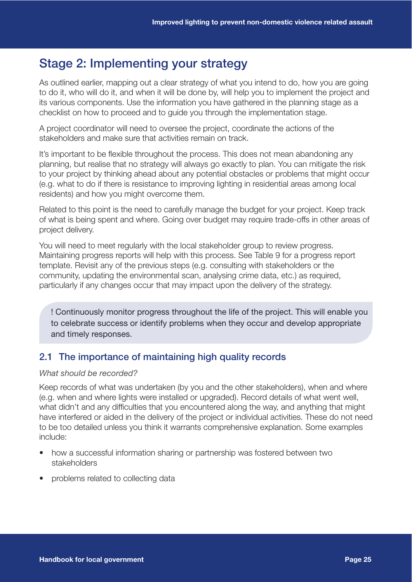## Stage 2: Implementing your strategy

As outlined earlier, mapping out a clear strategy of what you intend to do, how you are going to do it, who will do it, and when it will be done by, will help you to implement the project and its various components. Use the information you have gathered in the planning stage as a checklist on how to proceed and to guide you through the implementation stage.

A project coordinator will need to oversee the project, coordinate the actions of the stakeholders and make sure that activities remain on track.

It's important to be flexible throughout the process. This does not mean abandoning any planning, but realise that no strategy will always go exactly to plan. You can mitigate the risk to your project by thinking ahead about any potential obstacles or problems that might occur (e.g. what to do if there is resistance to improving lighting in residential areas among local residents) and how you might overcome them.

Related to this point is the need to carefully manage the budget for your project. Keep track of what is being spent and where. Going over budget may require trade-offs in other areas of project delivery.

You will need to meet regularly with the local stakeholder group to review progress. Maintaining progress reports will help with this process. See Table 9 for a progress report template. Revisit any of the previous steps (e.g. consulting with stakeholders or the community, updating the environmental scan, analysing crime data, etc.) as required, particularly if any changes occur that may impact upon the delivery of the strategy.

! Continuously monitor progress throughout the life of the project. This will enable you to celebrate success or identify problems when they occur and develop appropriate and timely responses.

## 2.1 The importance of maintaining high quality records

#### *What should be recorded?*

Keep records of what was undertaken (by you and the other stakeholders), when and where (e.g. when and where lights were installed or upgraded). Record details of what went well, what didn't and any difficulties that you encountered along the way, and anything that might have interfered or aided in the delivery of the project or individual activities. These do not need to be too detailed unless you think it warrants comprehensive explanation. Some examples include:

- how a successful information sharing or partnership was fostered between two stakeholders
- problems related to collecting data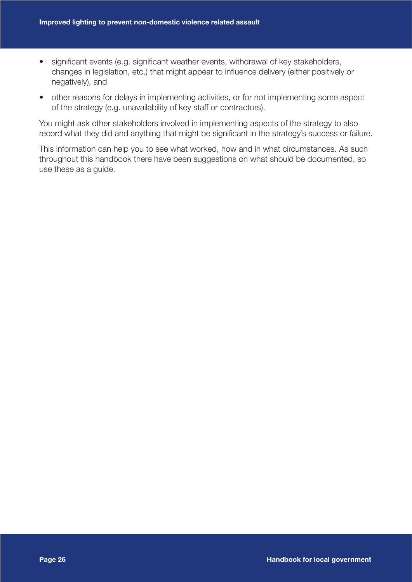- significant events (e.g. significant weather events, withdrawal of key stakeholders, changes in legislation, etc.) that might appear to influence delivery (either positively or negatively), and
- other reasons for delays in implementing activities, or for not implementing some aspect of the strategy (e.g. unavailability of key staff or contractors).

You might ask other stakeholders involved in implementing aspects of the strategy to also record what they did and anything that might be significant in the strategy's success or failure.

This information can help you to see what worked, how and in what circumstances. As such throughout this handbook there have been suggestions on what should be documented, so use these as a guide.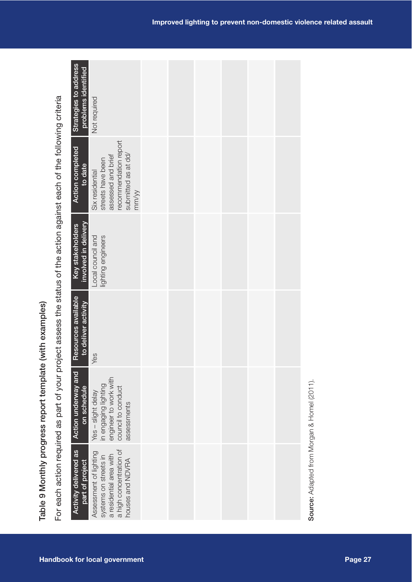|--|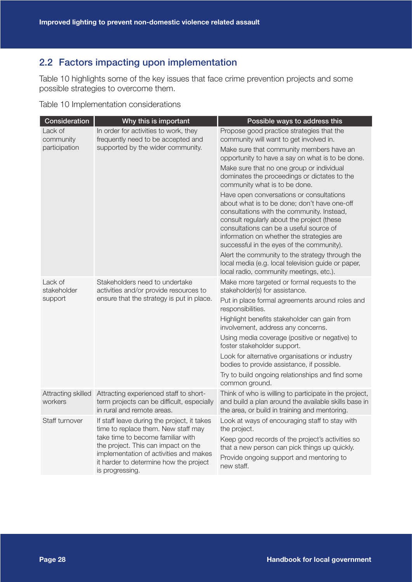## 2.2 Factors impacting upon implementation

Table 10 highlights some of the key issues that face crime prevention projects and some possible strategies to overcome them.

Table 10 Implementation considerations

| Consideration                         | Why this is important                                                                                                                                                                                                                                                 | Possible ways to address this                                                                                                                                                                                                                                                                                             |
|---------------------------------------|-----------------------------------------------------------------------------------------------------------------------------------------------------------------------------------------------------------------------------------------------------------------------|---------------------------------------------------------------------------------------------------------------------------------------------------------------------------------------------------------------------------------------------------------------------------------------------------------------------------|
| Lack of<br>community<br>participation | In order for activities to work, they<br>frequently need to be accepted and<br>supported by the wider community.                                                                                                                                                      | Propose good practice strategies that the<br>community will want to get involved in.<br>Make sure that community members have an<br>opportunity to have a say on what is to be done.<br>Make sure that no one group or individual                                                                                         |
|                                       |                                                                                                                                                                                                                                                                       | dominates the proceedings or dictates to the<br>community what is to be done.                                                                                                                                                                                                                                             |
|                                       |                                                                                                                                                                                                                                                                       | Have open conversations or consultations<br>about what is to be done; don't have one-off<br>consultations with the community. Instead,<br>consult regularly about the project (these<br>consultations can be a useful source of<br>information on whether the strategies are<br>successful in the eyes of the community). |
|                                       |                                                                                                                                                                                                                                                                       | Alert the community to the strategy through the<br>local media (e.g. local television guide or paper,<br>local radio, community meetings, etc.).                                                                                                                                                                          |
| Lack of<br>stakeholder                | Stakeholders need to undertake<br>activities and/or provide resources to                                                                                                                                                                                              | Make more targeted or formal requests to the<br>stakeholder(s) for assistance.                                                                                                                                                                                                                                            |
| support                               | ensure that the strategy is put in place.                                                                                                                                                                                                                             | Put in place formal agreements around roles and<br>responsibilities.                                                                                                                                                                                                                                                      |
|                                       |                                                                                                                                                                                                                                                                       | Highlight benefits stakeholder can gain from<br>involvement, address any concerns.                                                                                                                                                                                                                                        |
|                                       |                                                                                                                                                                                                                                                                       | Using media coverage (positive or negative) to<br>foster stakeholder support.                                                                                                                                                                                                                                             |
|                                       |                                                                                                                                                                                                                                                                       | Look for alternative organisations or industry<br>bodies to provide assistance, if possible.                                                                                                                                                                                                                              |
|                                       |                                                                                                                                                                                                                                                                       | Try to build ongoing relationships and find some<br>common ground.                                                                                                                                                                                                                                                        |
| Attracting skilled<br>workers         | Attracting experienced staff to short-<br>term projects can be difficult, especially<br>in rural and remote areas.                                                                                                                                                    | Think of who is willing to participate in the project,<br>and build a plan around the available skills base in<br>the area, or build in training and mentoring.                                                                                                                                                           |
| Staff turnover                        | If staff leave during the project, it takes<br>time to replace them. New staff may<br>take time to become familiar with<br>the project. This can impact on the<br>implementation of activities and makes<br>it harder to determine how the project<br>is progressing. | Look at ways of encouraging staff to stay with<br>the project.<br>Keep good records of the project's activities so<br>that a new person can pick things up quickly.<br>Provide ongoing support and mentoring to<br>new staff.                                                                                             |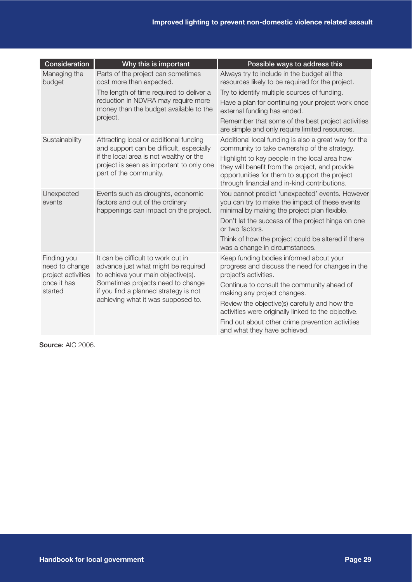| Consideration                                       | Why this is important                                                                                           | Possible ways to address this                                                                                                                                                                     |
|-----------------------------------------------------|-----------------------------------------------------------------------------------------------------------------|---------------------------------------------------------------------------------------------------------------------------------------------------------------------------------------------------|
| Managing the<br>budget                              | Parts of the project can sometimes<br>cost more than expected.                                                  | Always try to include in the budget all the<br>resources likely to be required for the project.                                                                                                   |
|                                                     | The length of time required to deliver a                                                                        | Try to identify multiple sources of funding.                                                                                                                                                      |
|                                                     | reduction in NDVRA may require more<br>money than the budget available to the                                   | Have a plan for continuing your project work once<br>external funding has ended.                                                                                                                  |
|                                                     | project.                                                                                                        | Remember that some of the best project activities<br>are simple and only require limited resources.                                                                                               |
| Sustainability                                      | Attracting local or additional funding<br>and support can be difficult, especially                              | Additional local funding is also a great way for the<br>community to take ownership of the strategy.                                                                                              |
|                                                     | if the local area is not wealthy or the<br>project is seen as important to only one<br>part of the community.   | Highlight to key people in the local area how<br>they will benefit from the project, and provide<br>opportunities for them to support the project<br>through financial and in-kind contributions. |
| Unexpected<br>events                                | Events such as droughts, economic<br>factors and out of the ordinary<br>happenings can impact on the project.   | You cannot predict 'unexpected' events. However<br>you can try to make the impact of these events<br>minimal by making the project plan flexible.                                                 |
|                                                     |                                                                                                                 | Don't let the success of the project hinge on one<br>or two factors.                                                                                                                              |
|                                                     |                                                                                                                 | Think of how the project could be altered if there<br>was a change in circumstances.                                                                                                              |
| Finding you<br>need to change<br>project activities | It can be difficult to work out in<br>advance just what might be required<br>to achieve your main objective(s). | Keep funding bodies informed about your<br>progress and discuss the need for changes in the<br>project's activities.                                                                              |
| once it has<br>started                              | Sometimes projects need to change<br>if you find a planned strategy is not                                      | Continue to consult the community ahead of<br>making any project changes.                                                                                                                         |
|                                                     | achieving what it was supposed to.                                                                              | Review the objective(s) carefully and how the<br>activities were originally linked to the objective.                                                                                              |
|                                                     |                                                                                                                 | Find out about other crime prevention activities<br>and what they have achieved.                                                                                                                  |

Source: AIC 2006.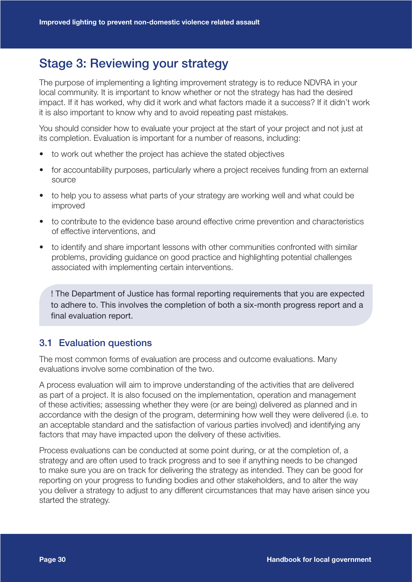## Stage 3: Reviewing your strategy

The purpose of implementing a lighting improvement strategy is to reduce NDVRA in your local community. It is important to know whether or not the strategy has had the desired impact. If it has worked, why did it work and what factors made it a success? If it didn't work it is also important to know why and to avoid repeating past mistakes.

You should consider how to evaluate your project at the start of your project and not just at its completion. Evaluation is important for a number of reasons, including:

- to work out whether the project has achieve the stated objectives
- for accountability purposes, particularly where a project receives funding from an external source
- to help you to assess what parts of your strategy are working well and what could be improved
- to contribute to the evidence base around effective crime prevention and characteristics of effective interventions, and
- to identify and share important lessons with other communities confronted with similar problems, providing guidance on good practice and highlighting potential challenges associated with implementing certain interventions.

! The Department of Justice has formal reporting requirements that you are expected to adhere to. This involves the completion of both a six-month progress report and a final evaluation report.

## 3.1 Evaluation questions

The most common forms of evaluation are process and outcome evaluations. Many evaluations involve some combination of the two.

A process evaluation will aim to improve understanding of the activities that are delivered as part of a project. It is also focused on the implementation, operation and management of these activities; assessing whether they were (or are being) delivered as planned and in accordance with the design of the program, determining how well they were delivered (i.e. to an acceptable standard and the satisfaction of various parties involved) and identifying any factors that may have impacted upon the delivery of these activities.

Process evaluations can be conducted at some point during, or at the completion of, a strategy and are often used to track progress and to see if anything needs to be changed to make sure you are on track for delivering the strategy as intended. They can be good for reporting on your progress to funding bodies and other stakeholders, and to alter the way you deliver a strategy to adjust to any different circumstances that may have arisen since you started the strategy.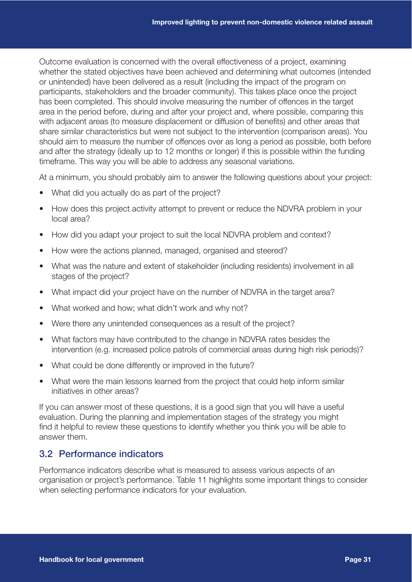Outcome evaluation is concerned with the overall effectiveness of a project, examining whether the stated objectives have been achieved and determining what outcomes (intended or unintended) have been delivered as a result (including the impact of the program on participants, stakeholders and the broader community). This takes place once the project has been completed. This should involve measuring the number of offences in the target area in the period before, during and after your project and, where possible, comparing this with adjacent areas (to measure displacement or diffusion of benefits) and other areas that share similar characteristics but were not subject to the intervention (comparison areas). You should aim to measure the number of offences over as long a period as possible, both before and after the strategy (ideally up to 12 months or longer) if this is possible within the funding timeframe. This way you will be able to address any seasonal variations.

At a minimum, you should probably aim to answer the following questions about your project:

- What did you actually do as part of the project?
- How does this project activity attempt to prevent or reduce the NDVRA problem in your local area?
- How did you adapt your project to suit the local NDVRA problem and context?
- How were the actions planned, managed, organised and steered?
- What was the nature and extent of stakeholder (including residents) involvement in all stages of the project?
- What impact did your project have on the number of NDVRA in the target area?
- What worked and how; what didn't work and why not?
- Were there any unintended consequences as a result of the project?
- What factors may have contributed to the change in NDVRA rates besides the intervention (e.g. increased police patrols of commercial areas during high risk periods)?
- What could be done differently or improved in the future?
- What were the main lessons learned from the project that could help inform similar initiatives in other areas?

If you can answer most of these questions, it is a good sign that you will have a useful evaluation. During the planning and implementation stages of the strategy you might find it helpful to review these questions to identify whether you think you will be able to answer them.

### 3.2 Performance indicators

Performance indicators describe what is measured to assess various aspects of an organisation or project's performance. Table 11 highlights some important things to consider when selecting performance indicators for your evaluation.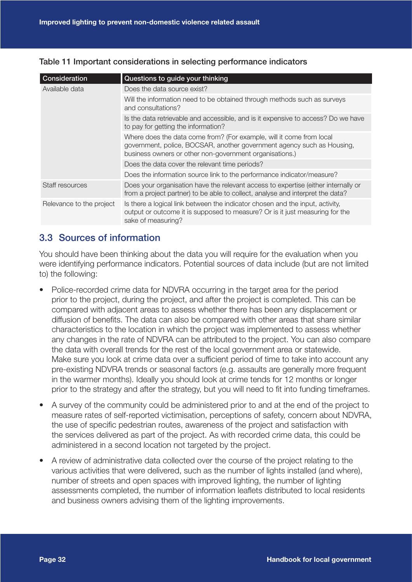| Consideration            | Questions to guide your thinking                                                                                                                                                                          |
|--------------------------|-----------------------------------------------------------------------------------------------------------------------------------------------------------------------------------------------------------|
| Available data           | Does the data source exist?                                                                                                                                                                               |
|                          | Will the information need to be obtained through methods such as surveys<br>and consultations?                                                                                                            |
|                          | Is the data retrievable and accessible, and is it expensive to access? Do we have<br>to pay for getting the information?                                                                                  |
|                          | Where does the data come from? (For example, will it come from local<br>government, police, BOCSAR, another government agency such as Housing,<br>business owners or other non-government organisations.) |
|                          | Does the data cover the relevant time periods?                                                                                                                                                            |
|                          | Does the information source link to the performance indicator/measure?                                                                                                                                    |
| Staff resources          | Does your organisation have the relevant access to expertise (either internally or<br>from a project partner) to be able to collect, analyse and interpret the data?                                      |
| Relevance to the project | Is there a logical link between the indicator chosen and the input, activity,<br>output or outcome it is supposed to measure? Or is it just measuring for the<br>sake of measuring?                       |

#### Table 11 Important considerations in selecting performance indicators

## 3.3 Sources of information

You should have been thinking about the data you will require for the evaluation when you were identifying performance indicators. Potential sources of data include (but are not limited to) the following:

- Police-recorded crime data for NDVRA occurring in the target area for the period prior to the project, during the project, and after the project is completed. This can be compared with adjacent areas to assess whether there has been any displacement or diffusion of benefits. The data can also be compared with other areas that share similar characteristics to the location in which the project was implemented to assess whether any changes in the rate of NDVRA can be attributed to the project. You can also compare the data with overall trends for the rest of the local government area or statewide. Make sure you look at crime data over a sufficient period of time to take into account any pre-existing NDVRA trends or seasonal factors (e.g. assaults are generally more frequent in the warmer months). Ideally you should look at crime tends for 12 months or longer prior to the strategy and after the strategy, but you will need to fit into funding timeframes.
- A survey of the community could be administered prior to and at the end of the project to measure rates of self-reported victimisation, perceptions of safety, concern about NDVRA, the use of specific pedestrian routes, awareness of the project and satisfaction with the services delivered as part of the project. As with recorded crime data, this could be administered in a second location not targeted by the project.
- A review of administrative data collected over the course of the project relating to the various activities that were delivered, such as the number of lights installed (and where), number of streets and open spaces with improved lighting, the number of lighting assessments completed, the number of information leaflets distributed to local residents and business owners advising them of the lighting improvements.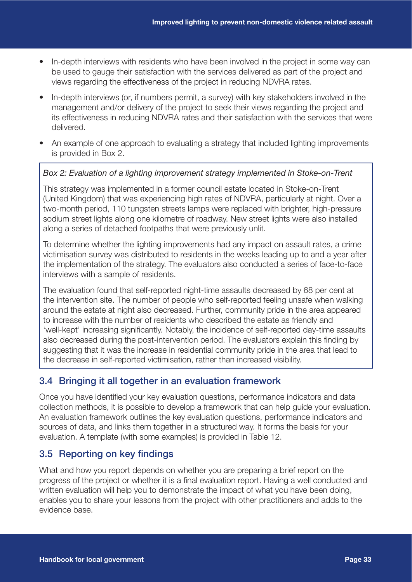- In-depth interviews with residents who have been involved in the project in some way can be used to gauge their satisfaction with the services delivered as part of the project and views regarding the effectiveness of the project in reducing NDVRA rates.
- In-depth interviews (or, if numbers permit, a survey) with key stakeholders involved in the management and/or delivery of the project to seek their views regarding the project and its effectiveness in reducing NDVRA rates and their satisfaction with the services that were delivered.
- An example of one approach to evaluating a strategy that included lighting improvements is provided in Box 2.

#### *Box 2: Evaluation of a lighting improvement strategy implemented in Stoke-on-Trent*

This strategy was implemented in a former council estate located in Stoke-on-Trent (United Kingdom) that was experiencing high rates of NDVRA, particularly at night. Over a two-month period, 110 tungsten streets lamps were replaced with brighter, high-pressure sodium street lights along one kilometre of roadway. New street lights were also installed along a series of detached footpaths that were previously unlit.

To determine whether the lighting improvements had any impact on assault rates, a crime victimisation survey was distributed to residents in the weeks leading up to and a year after the implementation of the strategy. The evaluators also conducted a series of face-to-face interviews with a sample of residents.

The evaluation found that self-reported night-time assaults decreased by 68 per cent at the intervention site. The number of people who self-reported feeling unsafe when walking around the estate at night also decreased. Further, community pride in the area appeared to increase with the number of residents who described the estate as friendly and 'well-kept' increasing significantly. Notably, the incidence of self-reported day-time assaults also decreased during the post-intervention period. The evaluators explain this finding by suggesting that it was the increase in residential community pride in the area that lead to the decrease in self-reported victimisation, rather than increased visibility.

## 3.4 Bringing it all together in an evaluation framework

Once you have identified your key evaluation questions, performance indicators and data collection methods, it is possible to develop a framework that can help guide your evaluation. An evaluation framework outlines the key evaluation questions, performance indicators and sources of data, and links them together in a structured way. It forms the basis for your evaluation. A template (with some examples) is provided in Table 12.

## 3.5 Reporting on key findings

What and how you report depends on whether you are preparing a brief report on the progress of the project or whether it is a final evaluation report. Having a well conducted and written evaluation will help you to demonstrate the impact of what you have been doing, enables you to share your lessons from the project with other practitioners and adds to the evidence base.